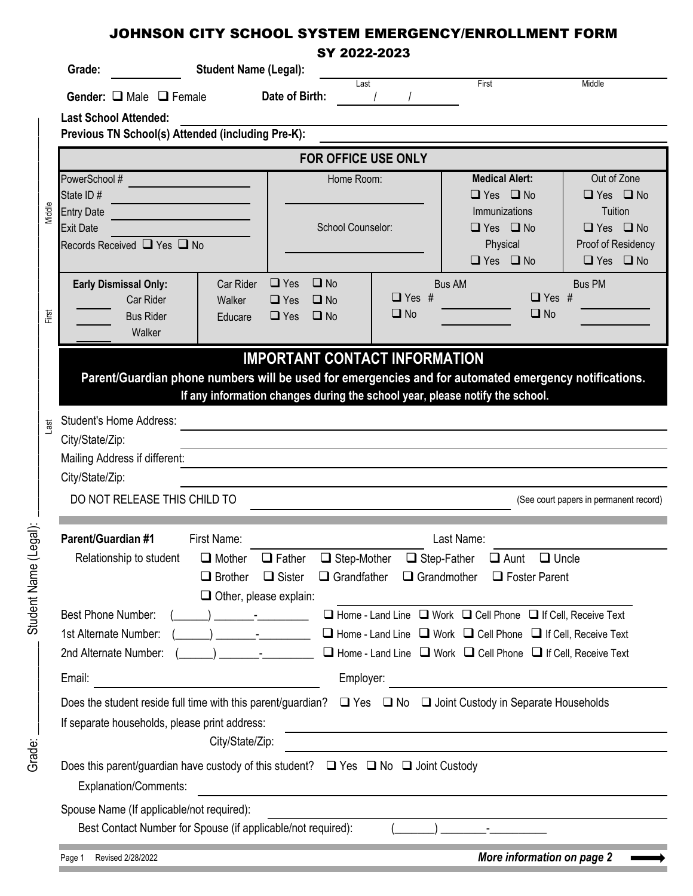| Grade:                                                                                                | <b>Student Name (Legal):</b>                                                 |                                                                                                                                                                                                                                                                                                                                                                                      |                                          |                            |                                                                                                                               |                                        |
|-------------------------------------------------------------------------------------------------------|------------------------------------------------------------------------------|--------------------------------------------------------------------------------------------------------------------------------------------------------------------------------------------------------------------------------------------------------------------------------------------------------------------------------------------------------------------------------------|------------------------------------------|----------------------------|-------------------------------------------------------------------------------------------------------------------------------|----------------------------------------|
| Gender: $\Box$ Male $\Box$ Female                                                                     |                                                                              | Date of Birth:                                                                                                                                                                                                                                                                                                                                                                       | Last                                     |                            | First                                                                                                                         | Middle                                 |
| <b>Last School Attended:</b>                                                                          |                                                                              |                                                                                                                                                                                                                                                                                                                                                                                      |                                          |                            |                                                                                                                               |                                        |
| Previous TN School(s) Attended (including Pre-K):                                                     |                                                                              |                                                                                                                                                                                                                                                                                                                                                                                      |                                          |                            |                                                                                                                               |                                        |
|                                                                                                       |                                                                              |                                                                                                                                                                                                                                                                                                                                                                                      |                                          | <b>FOR OFFICE USE ONLY</b> |                                                                                                                               |                                        |
| PowerSchool #                                                                                         |                                                                              | Home Room:                                                                                                                                                                                                                                                                                                                                                                           |                                          | <b>Medical Alert:</b>      | Out of Zone                                                                                                                   |                                        |
| State ID#                                                                                             |                                                                              |                                                                                                                                                                                                                                                                                                                                                                                      |                                          |                            | $\Box$ Yes $\Box$ No                                                                                                          | $\Box$ Yes $\Box$ No                   |
| <b>Entry Date</b><br><b>Exit Date</b>                                                                 | <u> 1980 - Johann Barnett, fransk konge</u>                                  |                                                                                                                                                                                                                                                                                                                                                                                      | School Counselor:                        |                            | Immunizations<br>Tuition<br>$\Box$ Yes $\Box$ No                                                                              | $\Box$ Yes $\Box$ No                   |
| Records Received □ Yes □ No                                                                           |                                                                              |                                                                                                                                                                                                                                                                                                                                                                                      |                                          |                            | Physical                                                                                                                      | Proof of Residency                     |
|                                                                                                       |                                                                              |                                                                                                                                                                                                                                                                                                                                                                                      |                                          |                            | $\Box$ Yes $\Box$ No                                                                                                          | $\Box$ Yes $\Box$ No                   |
| <b>Early Dismissal Only:</b>                                                                          | Car Rider                                                                    | $\Box$ Yes                                                                                                                                                                                                                                                                                                                                                                           | $\Box$ No                                |                            | <b>Bus AM</b>                                                                                                                 | <b>Bus PM</b>                          |
| Car Rider                                                                                             | Walker                                                                       | $\Box$ Yes                                                                                                                                                                                                                                                                                                                                                                           | $\Box$ No                                | $\Box$ Yes #               | $\Box$ Yes #                                                                                                                  |                                        |
| <b>Bus Rider</b>                                                                                      | Educare                                                                      | $\Box$ Yes $\Box$ No                                                                                                                                                                                                                                                                                                                                                                 |                                          | $\Box$ No                  | $\Box$ No                                                                                                                     |                                        |
| Walker                                                                                                |                                                                              |                                                                                                                                                                                                                                                                                                                                                                                      |                                          |                            |                                                                                                                               |                                        |
| Parent/Guardian phone numbers will be used for emergencies and for automated emergency notifications. |                                                                              |                                                                                                                                                                                                                                                                                                                                                                                      |                                          |                            |                                                                                                                               |                                        |
|                                                                                                       | If any information changes during the school year, please notify the school. |                                                                                                                                                                                                                                                                                                                                                                                      |                                          |                            |                                                                                                                               |                                        |
| <b>Student's Home Address:</b>                                                                        |                                                                              |                                                                                                                                                                                                                                                                                                                                                                                      |                                          |                            |                                                                                                                               |                                        |
| City/State/Zip:                                                                                       |                                                                              |                                                                                                                                                                                                                                                                                                                                                                                      |                                          |                            |                                                                                                                               |                                        |
| Mailing Address if different:                                                                         |                                                                              |                                                                                                                                                                                                                                                                                                                                                                                      |                                          |                            |                                                                                                                               |                                        |
| City/State/Zip:                                                                                       |                                                                              |                                                                                                                                                                                                                                                                                                                                                                                      |                                          |                            |                                                                                                                               |                                        |
| DO NOT RELEASE THIS CHILD TO                                                                          |                                                                              |                                                                                                                                                                                                                                                                                                                                                                                      |                                          |                            |                                                                                                                               |                                        |
|                                                                                                       |                                                                              |                                                                                                                                                                                                                                                                                                                                                                                      |                                          |                            |                                                                                                                               |                                        |
| Parent/Guardian #1<br>Relationship to student                                                         | First Name:<br>$\Box$ Mother                                                 | $\Box$ Father                                                                                                                                                                                                                                                                                                                                                                        |                                          | $\Box$ Step-Father         | Last Name:<br>$\Box$ Aunt $\Box$ Uncle                                                                                        |                                        |
|                                                                                                       | $\Box$ Brother                                                               | $\Box$ Sister                                                                                                                                                                                                                                                                                                                                                                        | $\Box$ Step-Mother<br>$\Box$ Grandfather | $\Box$ Grandmother         | $\Box$ Foster Parent                                                                                                          |                                        |
|                                                                                                       | $\Box$ Other, please explain:                                                |                                                                                                                                                                                                                                                                                                                                                                                      |                                          |                            |                                                                                                                               |                                        |
| Best Phone Number:                                                                                    |                                                                              |                                                                                                                                                                                                                                                                                                                                                                                      |                                          |                            | □ Home - Land Line □ Work □ Cell Phone □ If Cell, Receive Text                                                                |                                        |
| 1st Alternate Number:                                                                                 |                                                                              | $\overline{a}$ ) $\overline{a}$ -                                                                                                                                                                                                                                                                                                                                                    |                                          |                            | $\Box$ Home - Land Line $\Box$ Work $\Box$ Cell Phone $\Box$ If Cell, Receive Text                                            |                                        |
| 2nd Alternate Number:                                                                                 |                                                                              | $\overline{a}$ $\overline{a}$ $\overline{a}$ $\overline{a}$ $\overline{a}$ $\overline{a}$ $\overline{a}$ $\overline{a}$ $\overline{a}$ $\overline{a}$ $\overline{a}$ $\overline{a}$ $\overline{a}$ $\overline{a}$ $\overline{a}$ $\overline{a}$ $\overline{a}$ $\overline{a}$ $\overline{a}$ $\overline{a}$ $\overline{a}$ $\overline{a}$ $\overline{a}$ $\overline{a}$ $\overline{$ |                                          |                            | $\Box$ Home - Land Line $\Box$ Work $\Box$ Cell Phone $\Box$ If Cell, Receive Text                                            |                                        |
| Email:                                                                                                |                                                                              |                                                                                                                                                                                                                                                                                                                                                                                      | Employer:                                |                            |                                                                                                                               |                                        |
|                                                                                                       |                                                                              |                                                                                                                                                                                                                                                                                                                                                                                      |                                          |                            |                                                                                                                               |                                        |
|                                                                                                       |                                                                              |                                                                                                                                                                                                                                                                                                                                                                                      |                                          |                            | Does the student reside full time with this parent/guardian? $\Box$ Yes $\Box$ No $\Box$ Joint Custody in Separate Households |                                        |
| If separate households, please print address:                                                         |                                                                              |                                                                                                                                                                                                                                                                                                                                                                                      |                                          |                            |                                                                                                                               |                                        |
|                                                                                                       | City/State/Zip:                                                              |                                                                                                                                                                                                                                                                                                                                                                                      |                                          |                            |                                                                                                                               |                                        |
| Does this parent/guardian have custody of this student? $\Box$ Yes $\Box$ No $\Box$ Joint Custody     |                                                                              |                                                                                                                                                                                                                                                                                                                                                                                      |                                          |                            |                                                                                                                               | (See court papers in permanent record) |
| Explanation/Comments:<br>Spouse Name (If applicable/not required):                                    |                                                                              |                                                                                                                                                                                                                                                                                                                                                                                      |                                          |                            |                                                                                                                               |                                        |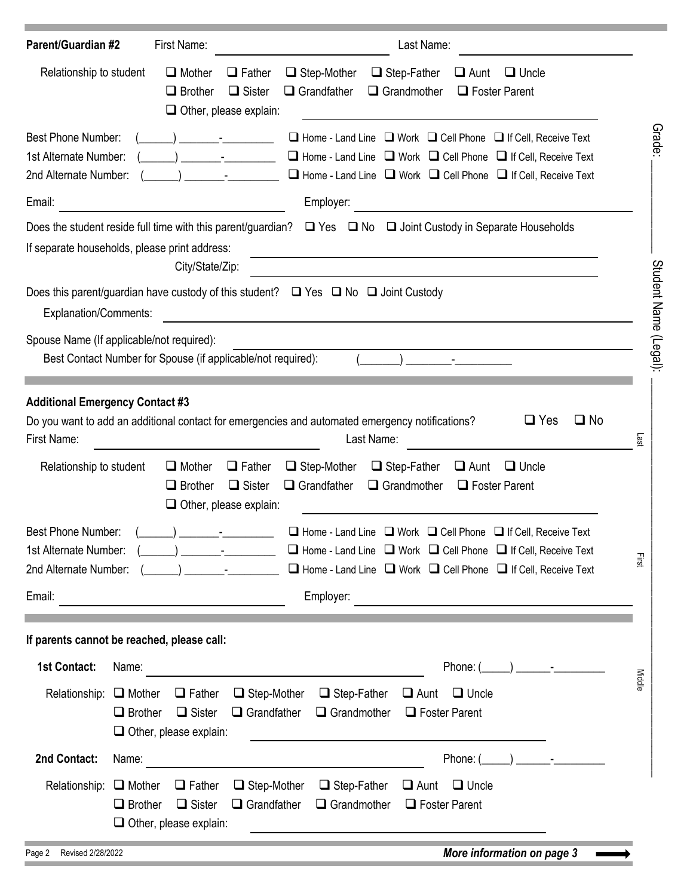| <b>Parent/Guardian #2</b>                                                   | First Name:<br>Last Name:                                                                                                                                                                                                                                                                                                                                                                                                                   |                       |
|-----------------------------------------------------------------------------|---------------------------------------------------------------------------------------------------------------------------------------------------------------------------------------------------------------------------------------------------------------------------------------------------------------------------------------------------------------------------------------------------------------------------------------------|-----------------------|
| Relationship to student                                                     | $\Box$ Mother<br>$\Box$ Father<br>$\Box$ Step-Mother<br>$\Box$ Step-Father<br>$\Box$ Aunt<br>$\Box$ Uncle<br>$\Box$ Sister<br>$\Box$ Grandfather<br>$\Box$ Grandmother<br>$\Box$ Brother<br>$\Box$ Foster Parent<br>$\Box$ Other, please explain:                                                                                                                                                                                           |                       |
| <b>Best Phone Number:</b><br>1st Alternate Number:<br>2nd Alternate Number: | $\Box$ Home - Land Line $\Box$ Work $\Box$ Cell Phone $\Box$ If Cell, Receive Text<br>$\Box$ Home - Land Line $\Box$ Work $\Box$ Cell Phone $\Box$ If Cell, Receive Text<br>$\Box$ Home - Land Line $\Box$ Work $\Box$ Cell Phone $\Box$ If Cell, Receive Text                                                                                                                                                                              | Grade:                |
| Email:                                                                      | Employer:                                                                                                                                                                                                                                                                                                                                                                                                                                   |                       |
|                                                                             | Does the student reside full time with this parent/guardian? $\square$ Yes $\square$ No $\square$ Joint Custody in Separate Households<br>If separate households, please print address:<br>City/State/Zip:                                                                                                                                                                                                                                  |                       |
| <b>Explanation/Comments:</b>                                                | Does this parent/guardian have custody of this student? $\Box$ Yes $\Box$ No $\Box$ Joint Custody                                                                                                                                                                                                                                                                                                                                           |                       |
|                                                                             | Spouse Name (If applicable/not required):<br>Best Contact Number for Spouse (if applicable/not required):                                                                                                                                                                                                                                                                                                                                   | Student Name (Legal): |
| First Name:                                                                 | <b>Additional Emergency Contact #3</b><br>$\square$ No<br>$\Box$ Yes<br>Do you want to add an additional contact for emergencies and automated emergency notifications?<br>Last Name:<br>Lasi                                                                                                                                                                                                                                               |                       |
| Relationship to student                                                     | $\Box$ Mother<br>$\Box$ Step-Mother<br>$\Box$ Step-Father<br>$\Box$ Aunt<br>$\Box$ Father<br>$\Box$ Uncle<br>$\Box$ Sister<br>$\Box$ Grandfather<br>$\Box$ Grandmother<br>$\Box$ Brother<br>$\Box$ Foster Parent<br>$\Box$ Other, please explain:                                                                                                                                                                                           |                       |
| Best Phone Number:<br>1st Alternate Number:<br>2nd Alternate Number:        | $\Box$ Home - Land Line $\Box$ Work $\Box$ Cell Phone $\Box$ If Cell, Receive Text<br>$\Box$ Home - Land Line $\Box$ Work $\Box$ Cell Phone $\Box$ If Cell, Receive Text<br>$\lambda$ $\sim$ $\lambda$<br>Eirst<br>$\Box$ Home - Land Line $\Box$ Work $\Box$ Cell Phone $\Box$ If Cell, Receive Text                                                                                                                                       |                       |
| Email:                                                                      | Employer:<br><u> 1989 - Johann Harry Barn, mars ar breist fan de Amerikaansk kommunent fan de Amerikaanske kommunent fan de A</u>                                                                                                                                                                                                                                                                                                           |                       |
|                                                                             | If parents cannot be reached, please call:                                                                                                                                                                                                                                                                                                                                                                                                  |                       |
| <b>1st Contact:</b>                                                         | Name:<br>Phone: $($<br>$\begin{picture}(20,20)(-0.0,0) \put(0,0){\line(1,0){10}} \put(15,0){\line(1,0){10}} \put(15,0){\line(1,0){10}} \put(15,0){\line(1,0){10}} \put(15,0){\line(1,0){10}} \put(15,0){\line(1,0){10}} \put(15,0){\line(1,0){10}} \put(15,0){\line(1,0){10}} \put(15,0){\line(1,0){10}} \put(15,0){\line(1,0){10}} \put(15,0){\line(1,0){10}} \put(15$<br><u> 1989 - Johann Stein, mars an t-Amerikaansk kommunister (</u> |                       |
| Relationship: $\Box$ Mother                                                 | $\Box$ Step-Mother<br>$\Box$ Step-Father<br>$\Box$ Father<br>$\Box$ Uncle<br>$\Box$ Aunt<br>$\Box$ Sister<br>$\Box$ Grandfather<br>$\Box$ Grandmother<br>$\Box$ Brother<br>$\Box$ Foster Parent<br>$\Box$ Other, please explain:                                                                                                                                                                                                            | Middl                 |
| 2nd Contact:                                                                | Phone: $($<br>$\begin{array}{ccc} \end{array}$ -<br>Name:                                                                                                                                                                                                                                                                                                                                                                                   |                       |
| Relationship: $\Box$ Mother                                                 | $\Box$ Step-Mother<br>$\Box$ Step-Father<br>$\Box$ Father<br>$\Box$ Aunt<br>$\Box$ Uncle<br>$\Box$ Sister<br>$\Box$ Grandfather<br>$\Box$ Brother<br>$\Box$ Grandmother<br>$\Box$ Foster Parent<br>$\Box$ Other, please explain:                                                                                                                                                                                                            |                       |
| u algalgang                                                                 | $M = \frac{1}{2}$                                                                                                                                                                                                                                                                                                                                                                                                                           |                       |

| Page 2 |  | Revised 2/28/2022 |
|--------|--|-------------------|
|--------|--|-------------------|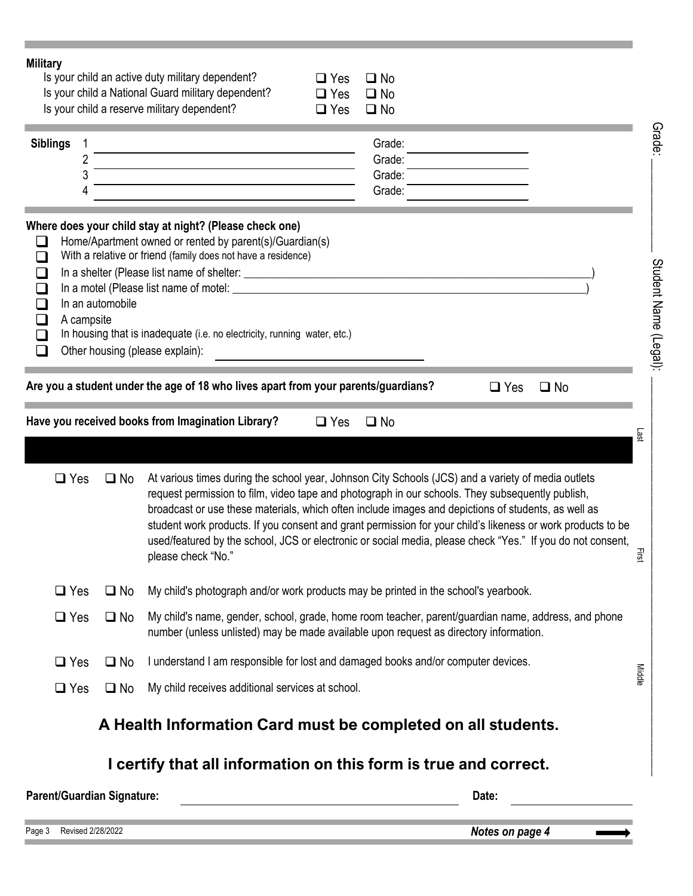| <b>Military</b>                                                                      |                   |                                   | Is your child an active duty military dependent?<br>$\Box$ Yes<br>$\square$ No<br>Is your child a National Guard military dependent?<br>$\Box$ Yes<br>$\square$ No<br>Is your child a reserve military dependent?<br>$\Box$ Yes<br>$\square$ No                                                                                                                                                                                                                                                                                                                  |                       |
|--------------------------------------------------------------------------------------|-------------------|-----------------------------------|------------------------------------------------------------------------------------------------------------------------------------------------------------------------------------------------------------------------------------------------------------------------------------------------------------------------------------------------------------------------------------------------------------------------------------------------------------------------------------------------------------------------------------------------------------------|-----------------------|
| <b>Siblings</b>                                                                      | 1<br>2<br>3<br>4  |                                   | Grade:<br>Grade:<br>Grade:<br>Grade:                                                                                                                                                                                                                                                                                                                                                                                                                                                                                                                             | Grade:                |
| $\overline{\phantom{a}}$<br>$\Box$<br>$\Box$<br>$\Box$<br>$\Box$<br>$\Box$<br>$\Box$ | A campsite        | In an automobile                  | Where does your child stay at night? (Please check one)<br>Home/Apartment owned or rented by parent(s)/Guardian(s)<br>With a relative or friend (family does not have a residence)<br>In housing that is inadequate (i.e. no electricity, running water, etc.)<br>Other housing (please explain):                                                                                                                                                                                                                                                                | Student Name (Legal): |
|                                                                                      |                   |                                   | Are you a student under the age of 18 who lives apart from your parents/guardians?<br>$\Box$ Yes<br>$\square$ No                                                                                                                                                                                                                                                                                                                                                                                                                                                 |                       |
|                                                                                      |                   |                                   | Have you received books from Imagination Library?<br>$\Box$ Yes<br>$\square$ No                                                                                                                                                                                                                                                                                                                                                                                                                                                                                  | Last                  |
|                                                                                      | $\Box$ Yes        | $\square$ No                      | At various times during the school year, Johnson City Schools (JCS) and a variety of media outlets<br>request permission to film, video tape and photograph in our schools. They subsequently publish,<br>broadcast or use these materials, which often include images and depictions of students, as well as<br>student work products. If you consent and grant permission for your child's likeness or work products to be<br>used/featured by the school, JCS or electronic or social media, please check "Yes." If you do not consent,<br>please check "No." | Eirs                  |
|                                                                                      | $\Box$ Yes        | $\square$ No                      | My child's photograph and/or work products may be printed in the school's yearbook.                                                                                                                                                                                                                                                                                                                                                                                                                                                                              |                       |
|                                                                                      | $\Box$ Yes        | $\square$ No                      | My child's name, gender, school, grade, home room teacher, parent/guardian name, address, and phone<br>number (unless unlisted) may be made available upon request as directory information.                                                                                                                                                                                                                                                                                                                                                                     |                       |
|                                                                                      | $\Box$ Yes        | $\square$ No                      | I understand I am responsible for lost and damaged books and/or computer devices.                                                                                                                                                                                                                                                                                                                                                                                                                                                                                | Middle                |
|                                                                                      | $\Box$ Yes        | $\square$ No                      | My child receives additional services at school.                                                                                                                                                                                                                                                                                                                                                                                                                                                                                                                 |                       |
|                                                                                      |                   |                                   | A Health Information Card must be completed on all students.                                                                                                                                                                                                                                                                                                                                                                                                                                                                                                     |                       |
|                                                                                      |                   |                                   | I certify that all information on this form is true and correct.                                                                                                                                                                                                                                                                                                                                                                                                                                                                                                 |                       |
|                                                                                      |                   | <b>Parent/Guardian Signature:</b> | Date:                                                                                                                                                                                                                                                                                                                                                                                                                                                                                                                                                            |                       |
| Page 3                                                                               | Revised 2/28/2022 |                                   | Notes on page 4                                                                                                                                                                                                                                                                                                                                                                                                                                                                                                                                                  |                       |

è

×